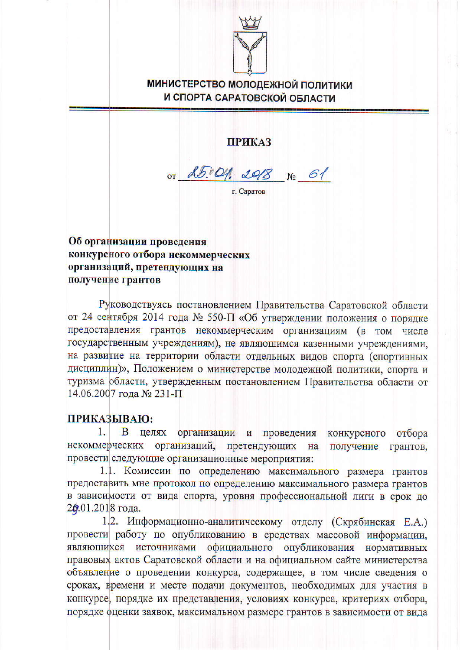

## **МИНИСТЕРСТВО МОЛОДЕЖНОЙ ПОЛИТИКИ** И СПОРТА САРАТОВСКОЙ ОБЛАСТИ

**ПРИКАЗ** 

OT 25.04. 2018 No 61

г. Саратов

Об организации проведения конкурсного отбора некоммерческих организаций, претендующих на получение грантов

Руководствуясь постановлением Правительства Саратовской области от 24 сентября 2014 года № 550-П «Об утверждении положения о порядке предоставления грантов некоммерческим организациям (в том числе государственным учреждениям), не являющимся казенными учреждениями. на развитие на территории области отдельных видов спорта (спортивных дисциплин)», Положением о министерстве молодежной политики, спорта и туризма области, утвержденным постановлением Правительства области от 14.06.2007 года № 231-П

## ПРИКАЗЫВАЮ:

1. В целях организации и проведения конкурсного отбора некоммерческих организаций, претендующих на получение прантов, провести следующие организационные мероприятия:

1.1. Комиссии по определению максимального размера грантов предоставить мне протокол по определению максимального размера грантов в зависимости от вида спорта, уровня профессиональной лиги в срок до 26.01.2018 года.

1.2. Информационно-аналитическому отделу (Скрябинская Е.А.) провести работу по опубликованию в средствах массовой информации, являющихся источниками официального опубликования нормативных правовых актов Саратовской области и на официальном сайте министерства объявление о проведении конкурса, содержащее, в том числе сведения о сроках, времени и месте подачи документов, необходимых для участия в конкурсе, порядке их представления, условиях конкурса, критериях отбора, порядке оценки заявок, максимальном размере грантов в зависимости от вида